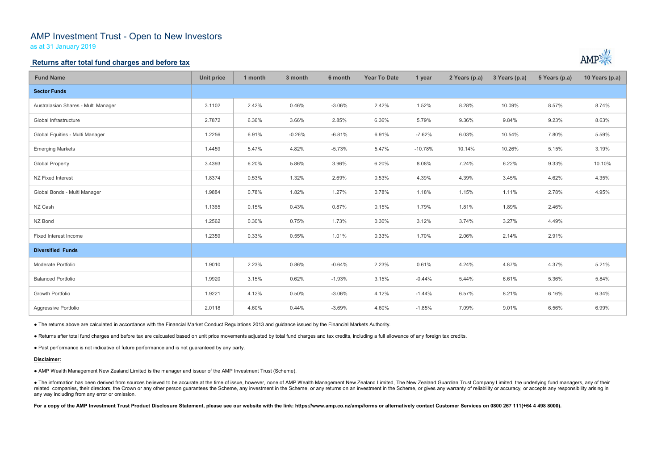# AMP Investment Trust - Open to New Investors

as at 31 January 2019

## Returns after total fund charges and before tax

| <b>Fund Name</b>                                                                                                                                                                                                                                                                                                                                                                                                                                                                                                 | <b>Unit price</b> | 1 month | 3 month  | 6 month  | <b>Year To Date</b> | 1 year    | 2 Years (p.a) | 3 Years (p.a) | 5 Years (p.a) | 10 Years (p.a) |
|------------------------------------------------------------------------------------------------------------------------------------------------------------------------------------------------------------------------------------------------------------------------------------------------------------------------------------------------------------------------------------------------------------------------------------------------------------------------------------------------------------------|-------------------|---------|----------|----------|---------------------|-----------|---------------|---------------|---------------|----------------|
| <b>Sector Funds</b>                                                                                                                                                                                                                                                                                                                                                                                                                                                                                              |                   |         |          |          |                     |           |               |               |               |                |
| Australasian Shares - Multi Manager                                                                                                                                                                                                                                                                                                                                                                                                                                                                              | 3.1102            | 2.42%   | 0.46%    | $-3.06%$ | 2.42%               | 1.52%     | 8.28%         | 10.09%        | 8.57%         | 8.74%          |
| Global Infrastructure                                                                                                                                                                                                                                                                                                                                                                                                                                                                                            | 2.7872            | 6.36%   | 3.66%    | 2.85%    | 6.36%               | 5.79%     | 9.36%         | 9.84%         | 9.23%         | 8.63%          |
| Global Equities - Multi Manager                                                                                                                                                                                                                                                                                                                                                                                                                                                                                  | 1.2256            | 6.91%   | $-0.26%$ | $-6.81%$ | 6.91%               | $-7.62%$  | 6.03%         | 10.54%        | 7.80%         | 5.59%          |
| <b>Emerging Markets</b>                                                                                                                                                                                                                                                                                                                                                                                                                                                                                          | 1.4459            | 5.47%   | 4.82%    | $-5.73%$ | 5.47%               | $-10.78%$ | 10.14%        | 10.26%        | 5.15%         | 3.19%          |
| <b>Global Property</b>                                                                                                                                                                                                                                                                                                                                                                                                                                                                                           | 3.4393            | 6.20%   | 5.86%    | 3.96%    | 6.20%               | 8.08%     | 7.24%         | 6.22%         | 9.33%         | 10.10%         |
| NZ Fixed Interest                                                                                                                                                                                                                                                                                                                                                                                                                                                                                                | 1.8374            | 0.53%   | 1.32%    | 2.69%    | 0.53%               | 4.39%     | 4.39%         | 3.45%         | 4.62%         | 4.35%          |
| Global Bonds - Multi Manager                                                                                                                                                                                                                                                                                                                                                                                                                                                                                     | 1.9884            | 0.78%   | 1.82%    | 1.27%    | 0.78%               | 1.18%     | 1.15%         | 1.11%         | 2.78%         | 4.95%          |
| NZ Cash                                                                                                                                                                                                                                                                                                                                                                                                                                                                                                          | 1.1365            | 0.15%   | 0.43%    | 0.87%    | 0.15%               | 1.79%     | 1.81%         | 1.89%         | 2.46%         |                |
| NZ Bond                                                                                                                                                                                                                                                                                                                                                                                                                                                                                                          | 1.2562            | 0.30%   | 0.75%    | 1.73%    | 0.30%               | 3.12%     | 3.74%         | 3.27%         | 4.49%         |                |
| Fixed Interest Income                                                                                                                                                                                                                                                                                                                                                                                                                                                                                            | 1.2359            | 0.33%   | 0.55%    | 1.01%    | 0.33%               | 1.70%     | 2.06%         | 2.14%         | 2.91%         |                |
| <b>Diversified Funds</b>                                                                                                                                                                                                                                                                                                                                                                                                                                                                                         |                   |         |          |          |                     |           |               |               |               |                |
| Moderate Portfolio                                                                                                                                                                                                                                                                                                                                                                                                                                                                                               | 1.9010            | 2.23%   | 0.86%    | $-0.64%$ | 2.23%               | 0.61%     | 4.24%         | 4.87%         | 4.37%         | 5.21%          |
| <b>Balanced Portfolio</b>                                                                                                                                                                                                                                                                                                                                                                                                                                                                                        | 1.9920            | 3.15%   | 0.62%    | $-1.93%$ | 3.15%               | $-0.44%$  | 5.44%         | 6.61%         | 5.36%         | 5.84%          |
| Growth Portfolio                                                                                                                                                                                                                                                                                                                                                                                                                                                                                                 | 1.9221            | 4.12%   | 0.50%    | $-3.06%$ | 4.12%               | $-1.44%$  | 6.57%         | 8.21%         | 6.16%         | 6.34%          |
| Aggressive Portfolio                                                                                                                                                                                                                                                                                                                                                                                                                                                                                             | 2.0118            | 4.60%   | 0.44%    | $-3.69%$ | 4.60%               | $-1.85%$  | 7.09%         | 9.01%         | 6.56%         | 6.99%          |
| • The returns above are calculated in accordance with the Financial Market Conduct Regulations 2013 and guidance issued by the Financial Markets Authority.                                                                                                                                                                                                                                                                                                                                                      |                   |         |          |          |                     |           |               |               |               |                |
| . Returns after total fund charges and before tax are calcuated based on unit price movements adjusted by total fund charges and tax credits, including a full allowance of any foreign tax credits.                                                                                                                                                                                                                                                                                                             |                   |         |          |          |                     |           |               |               |               |                |
| • Past performance is not indicative of future performance and is not guaranteed by any party.                                                                                                                                                                                                                                                                                                                                                                                                                   |                   |         |          |          |                     |           |               |               |               |                |
| Disclaimer:                                                                                                                                                                                                                                                                                                                                                                                                                                                                                                      |                   |         |          |          |                     |           |               |               |               |                |
| • AMP Wealth Management New Zealand Limited is the manager and issuer of the AMP Investment Trust (Scheme).                                                                                                                                                                                                                                                                                                                                                                                                      |                   |         |          |          |                     |           |               |               |               |                |
| • The information has been derived from sources believed to be accurate at the time of issue, however, none of AMP Wealth Management New Zealand Limited, The New Zealand Guardian Trust Company Limited, the underlying fund<br>related companies, their directors, the Crown or any other person guarantees the Scheme, any investment in the Scheme, or any returns on an investment in the Scheme, or gives any warranty of reliability or accuracy, or acc<br>any way including from any error or omission. |                   |         |          |          |                     |           |               |               |               |                |
| For a copy of the AMP Investment Trust Product Disclosure Statement, please see our website with the link: https://www.amp.co.nz/amp/forms or alternatively contact Customer Services on 0800 267 111(+64 4 498 8000).                                                                                                                                                                                                                                                                                           |                   |         |          |          |                     |           |               |               |               |                |
|                                                                                                                                                                                                                                                                                                                                                                                                                                                                                                                  |                   |         |          |          |                     |           |               |               |               |                |



#### Disclaimer: